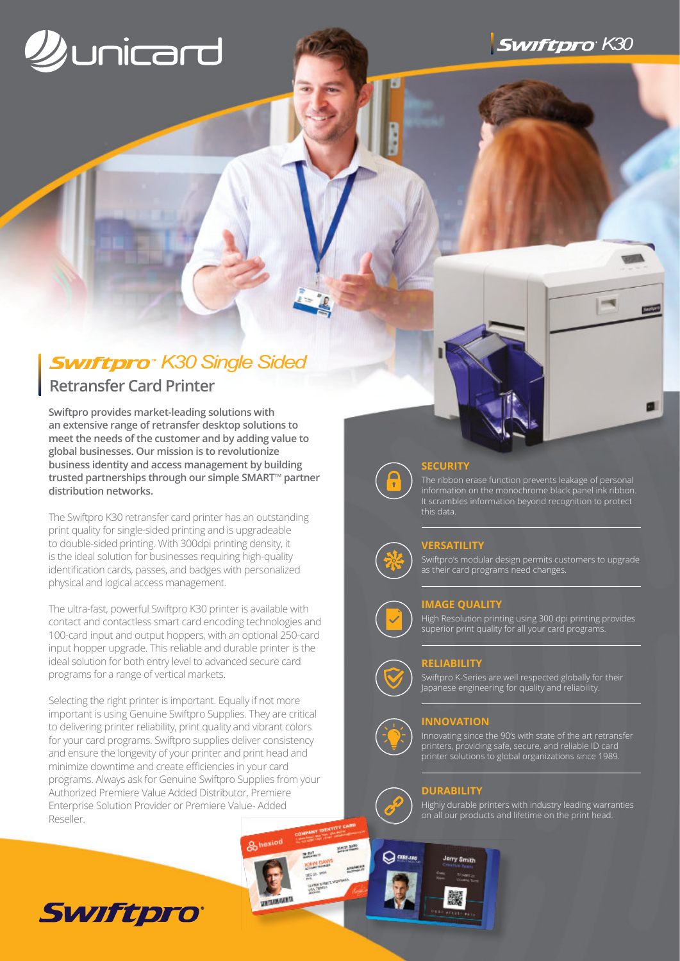



# **Swiftpro**<sup>\*</sup> K30 Single Sided

# **Retransfer Card Printer**

**Swiftpro provides market-leading solutions with an extensive range of retransfer desktop solutions to meet the needs of the customer and by adding value to global businesses. Our mission is to revolutionize business identity and access management by building** trusted partnerships through our simple SMART<sup>™</sup> partner **distribution networks.**

The Swiftpro K30 retransfer card printer has an outstanding print quality for single-sided printing and is upgradeable to double-sided printing. With 300dpi printing density, it is the ideal solution for businesses requiring high-quality identification cards, passes, and badges with personalized physical and logical access management.

The ultra-fast, powerful Swiftpro K30 printer is available with contact and contactless smart card encoding technologies and 100-card input and output hoppers, with an optional 250-card input hopper upgrade. This reliable and durable printer is the ideal solution for both entry level to advanced secure card programs for a range of vertical markets.

Selecting the right printer is important. Equally if not more important is using Genuine Swiftpro Supplies. They are critical to delivering printer reliability, print quality and vibrant colors for your card programs. Swiftpro supplies deliver consistency and ensure the longevity of your printer and print head and minimize downtime and create efficiencies in your card programs. Always ask for Genuine Swiftpro Supplies from your Authorized Premiere Value Added Distributor, Premiere Enterprise Solution Provider or Premiere Value- Added Reseller.

8<sub>hexiod</sub>

**WEIGHAMARIS** 



## **SECURITY**

The ribbon erase function prevents leakage of personal information on the monochrome black panel ink ribbon. It scrambles information beyond recognition to protect this data.

# **VERSATILITY**

Swiftpro's modular design permits customers to upgrade as their card programs need changes.

## **IMAGE QUALITY**

High Resolution printing using 300 dpi printing provides superior print quality for all your card programs.

## **RELIABILITY**

Swiftpro K-Series are well respected globally for their Japanese engineering for quality and reliability.



 $\bigcap$  case  $\cup$ 

**MATH 1870** 

MARKET

 $100<sup>2</sup>$ 

KIM DAVA

**Mary Ave.**<br>All C. July Anderson **MORE AND AND STREET**<br>**CALLER AND THIS COUNTY** 

# **INNOVATION**

Innovating since the 90's with state of the art retransfer printers, providing safe, secure, and reliable ID card printer solutions to global organizations since 1989.

# **DURABILITY**

Highly durable printers with industry leading warranties on all our products and lifetime on the print head.